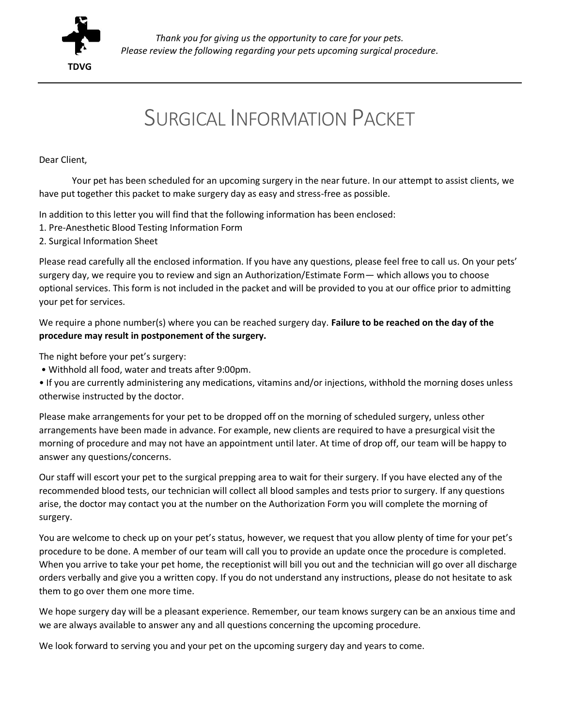

# SURGICAL INFORMATION PACKET

#### Dear Client,

Your pet has been scheduled for an upcoming surgery in the near future. In our attempt to assist clients, we have put together this packet to make surgery day as easy and stress-free as possible.

In addition to this letter you will find that the following information has been enclosed:

- 1. Pre-Anesthetic Blood Testing Information Form
- 2. Surgical Information Sheet

Please read carefully all the enclosed information. If you have any questions, please feel free to call us. On your pets' surgery day, we require you to review and sign an Authorization/Estimate Form— which allows you to choose optional services. This form is not included in the packet and will be provided to you at our office prior to admitting your pet for services.

We require a phone number(s) where you can be reached surgery day. **Failure to be reached on the day of the procedure may result in postponement of the surgery.**

The night before your pet's surgery:

• Withhold all food, water and treats after 9:00pm.

• If you are currently administering any medications, vitamins and/or injections, withhold the morning doses unless otherwise instructed by the doctor.

Please make arrangements for your pet to be dropped off on the morning of scheduled surgery, unless other arrangements have been made in advance. For example, new clients are required to have a presurgical visit the morning of procedure and may not have an appointment until later. At time of drop off, our team will be happy to answer any questions/concerns.

Our staff will escort your pet to the surgical prepping area to wait for their surgery. If you have elected any of the recommended blood tests, our technician will collect all blood samples and tests prior to surgery. If any questions arise, the doctor may contact you at the number on the Authorization Form you will complete the morning of surgery.

You are welcome to check up on your pet's status, however, we request that you allow plenty of time for your pet's procedure to be done. A member of our team will call you to provide an update once the procedure is completed. When you arrive to take your pet home, the receptionist will bill you out and the technician will go over all discharge orders verbally and give you a written copy. If you do not understand any instructions, please do not hesitate to ask them to go over them one more time.

We hope surgery day will be a pleasant experience. Remember, our team knows surgery can be an anxious time and we are always available to answer any and all questions concerning the upcoming procedure.

We look forward to serving you and your pet on the upcoming surgery day and years to come.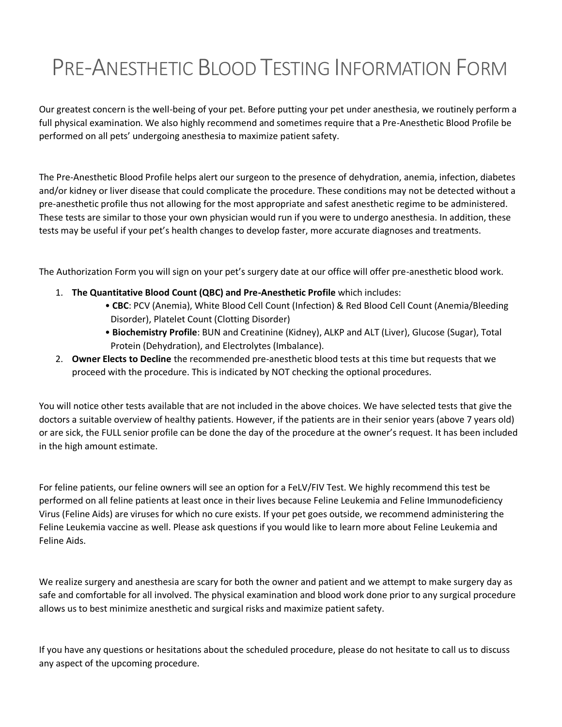# PRE-ANESTHETIC BLOOD TESTING INFORMATION FORM

Our greatest concern is the well-being of your pet. Before putting your pet under anesthesia, we routinely perform a full physical examination. We also highly recommend and sometimes require that a Pre-Anesthetic Blood Profile be performed on all pets' undergoing anesthesia to maximize patient safety.

The Pre-Anesthetic Blood Profile helps alert our surgeon to the presence of dehydration, anemia, infection, diabetes and/or kidney or liver disease that could complicate the procedure. These conditions may not be detected without a pre-anesthetic profile thus not allowing for the most appropriate and safest anesthetic regime to be administered. These tests are similar to those your own physician would run if you were to undergo anesthesia. In addition, these tests may be useful if your pet's health changes to develop faster, more accurate diagnoses and treatments.

The Authorization Form you will sign on your pet's surgery date at our office will offer pre-anesthetic blood work.

- 1. **The Quantitative Blood Count (QBC) and Pre-Anesthetic Profile** which includes:
	- **CBC**: PCV (Anemia), White Blood Cell Count (Infection) & Red Blood Cell Count (Anemia/Bleeding Disorder), Platelet Count (Clotting Disorder)
	- **Biochemistry Profile**: BUN and Creatinine (Kidney), ALKP and ALT (Liver), Glucose (Sugar), Total Protein (Dehydration), and Electrolytes (Imbalance).
- 2. **Owner Elects to Decline** the recommended pre-anesthetic blood tests at this time but requests that we proceed with the procedure. This is indicated by NOT checking the optional procedures.

You will notice other tests available that are not included in the above choices. We have selected tests that give the doctors a suitable overview of healthy patients. However, if the patients are in their senior years (above 7 years old) or are sick, the FULL senior profile can be done the day of the procedure at the owner's request. It has been included in the high amount estimate.

For feline patients, our feline owners will see an option for a FeLV/FIV Test. We highly recommend this test be performed on all feline patients at least once in their lives because Feline Leukemia and Feline Immunodeficiency Virus (Feline Aids) are viruses for which no cure exists. If your pet goes outside, we recommend administering the Feline Leukemia vaccine as well. Please ask questions if you would like to learn more about Feline Leukemia and Feline Aids.

We realize surgery and anesthesia are scary for both the owner and patient and we attempt to make surgery day as safe and comfortable for all involved. The physical examination and blood work done prior to any surgical procedure allows us to best minimize anesthetic and surgical risks and maximize patient safety.

If you have any questions or hesitations about the scheduled procedure, please do not hesitate to call us to discuss any aspect of the upcoming procedure.